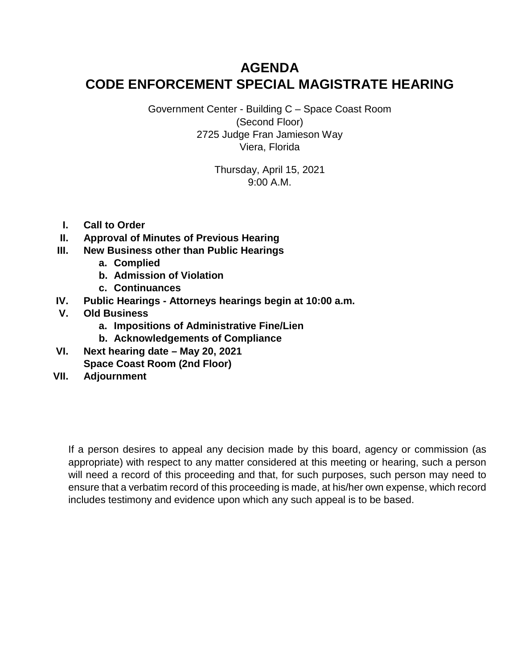# **AGENDA CODE ENFORCEMENT SPECIAL MAGISTRATE HEARING**

Government Center - Building C – Space Coast Room (Second Floor) 2725 Judge Fran Jamieson Way Viera, Florida

> Thursday, April 15, 2021 9:00 A.M.

- **I. Call to Order**
- **II. Approval of Minutes of Previous Hearing**
- **III. New Business other than Public Hearings**
	- **a. Complied**
	- **b. Admission of Violation**
	- **c. Continuances**
- **IV. Public Hearings - Attorneys hearings begin at 10:00 a.m.**
- **V. Old Business**
	- **a. Impositions of Administrative Fine/Lien**
	- **b. Acknowledgements of Compliance**
- **VI. Next hearing date – May 20, 2021 Space Coast Room (2nd Floor)**
- **VII. Adjournment**

If a person desires to appeal any decision made by this board, agency or commission (as appropriate) with respect to any matter considered at this meeting or hearing, such a person will need a record of this proceeding and that, for such purposes, such person may need to ensure that a verbatim record of this proceeding is made, at his/her own expense, which record includes testimony and evidence upon which any such appeal is to be based.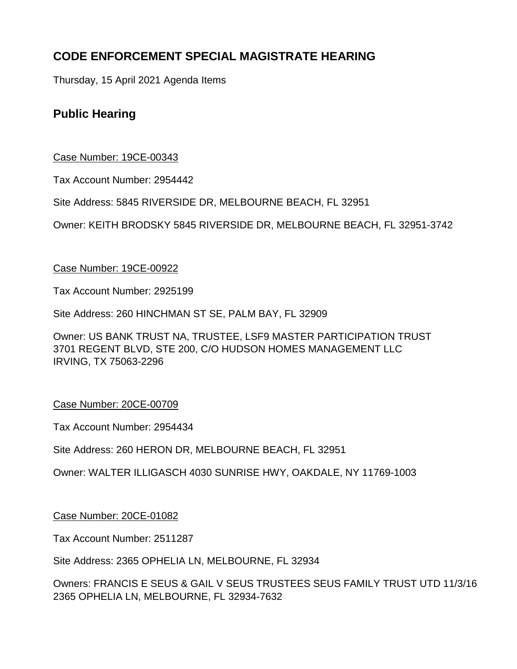# **CODE ENFORCEMENT SPECIAL MAGISTRATE HEARING**

Thursday, 15 April 2021 Agenda Items

# **Public Hearing**

## Case Number: 19CE-00343

Tax Account Number: 2954442

Site Address: 5845 RIVERSIDE DR, MELBOURNE BEACH, FL 32951

Owner: KEITH BRODSKY 5845 RIVERSIDE DR, MELBOURNE BEACH, FL 32951-3742

## Case Number: 19CE-00922

Tax Account Number: 2925199

Site Address: 260 HINCHMAN ST SE, PALM BAY, FL 32909

Owner: US BANK TRUST NA, TRUSTEE, LSF9 MASTER PARTICIPATION TRUST 3701 REGENT BLVD, STE 200, C/O HUDSON HOMES MANAGEMENT LLC IRVING, TX 75063-2296

## Case Number: 20CE-00709

Tax Account Number: 2954434

Site Address: 260 HERON DR, MELBOURNE BEACH, FL 32951

Owner: WALTER ILLIGASCH 4030 SUNRISE HWY, OAKDALE, NY 11769-1003

Case Number: 20CE-01082

Tax Account Number: 2511287

Site Address: 2365 OPHELIA LN, MELBOURNE, FL 32934

Owners: FRANCIS E SEUS & GAIL V SEUS TRUSTEES SEUS FAMILY TRUST UTD 11/3/16 2365 OPHELIA LN, MELBOURNE, FL 32934-7632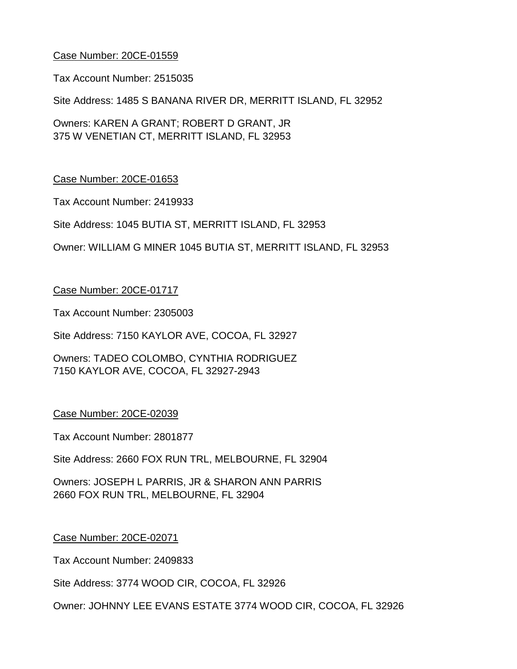Tax Account Number: 2515035

Site Address: 1485 S BANANA RIVER DR, MERRITT ISLAND, FL 32952

Owners: KAREN A GRANT; ROBERT D GRANT, JR 375 W VENETIAN CT, MERRITT ISLAND, FL 32953

## Case Number: 20CE-01653

Tax Account Number: 2419933

Site Address: 1045 BUTIA ST, MERRITT ISLAND, FL 32953

Owner: WILLIAM G MINER 1045 BUTIA ST, MERRITT ISLAND, FL 32953

#### Case Number: 20CE-01717

Tax Account Number: 2305003

Site Address: 7150 KAYLOR AVE, COCOA, FL 32927

Owners: TADEO COLOMBO, CYNTHIA RODRIGUEZ 7150 KAYLOR AVE, COCOA, FL 32927-2943

#### Case Number: 20CE-02039

Tax Account Number: 2801877

Site Address: 2660 FOX RUN TRL, MELBOURNE, FL 32904

Owners: JOSEPH L PARRIS, JR & SHARON ANN PARRIS 2660 FOX RUN TRL, MELBOURNE, FL 32904

#### Case Number: 20CE-02071

Tax Account Number: 2409833

Site Address: 3774 WOOD CIR, COCOA, FL 32926

Owner: JOHNNY LEE EVANS ESTATE 3774 WOOD CIR, COCOA, FL 32926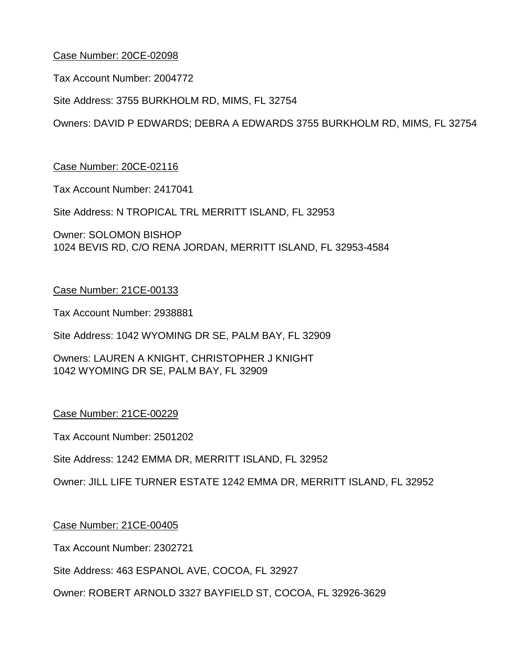Tax Account Number: 2004772

Site Address: 3755 BURKHOLM RD, MIMS, FL 32754

Owners: DAVID P EDWARDS; DEBRA A EDWARDS 3755 BURKHOLM RD, MIMS, FL 32754

## Case Number: 20CE-02116

Tax Account Number: 2417041

Site Address: N TROPICAL TRL MERRITT ISLAND, FL 32953

Owner: SOLOMON BISHOP 1024 BEVIS RD, C/O RENA JORDAN, MERRITT ISLAND, FL 32953-4584

## Case Number: 21CE-00133

Tax Account Number: 2938881

Site Address: 1042 WYOMING DR SE, PALM BAY, FL 32909

Owners: LAUREN A KNIGHT, CHRISTOPHER J KNIGHT 1042 WYOMING DR SE, PALM BAY, FL 32909

## Case Number: 21CE-00229

Tax Account Number: 2501202

Site Address: 1242 EMMA DR, MERRITT ISLAND, FL 32952

Owner: JILL LIFE TURNER ESTATE 1242 EMMA DR, MERRITT ISLAND, FL 32952

## Case Number: 21CE-00405

Tax Account Number: 2302721

Site Address: 463 ESPANOL AVE, COCOA, FL 32927

Owner: ROBERT ARNOLD 3327 BAYFIELD ST, COCOA, FL 32926-3629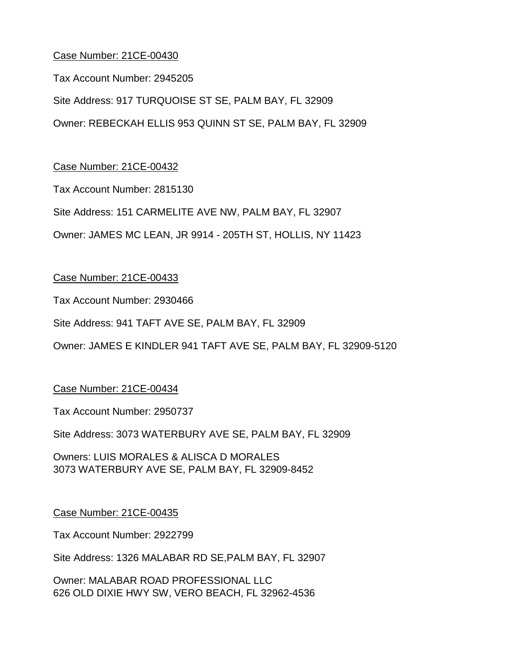Tax Account Number: 2945205

Site Address: 917 TURQUOISE ST SE, PALM BAY, FL 32909 Owner: REBECKAH ELLIS 953 QUINN ST SE, PALM BAY, FL 32909

## Case Number: 21CE-00432

Tax Account Number: 2815130

Site Address: 151 CARMELITE AVE NW, PALM BAY, FL 32907

Owner: JAMES MC LEAN, JR 9914 - 205TH ST, HOLLIS, NY 11423

## Case Number: 21CE-00433

Tax Account Number: 2930466

Site Address: 941 TAFT AVE SE, PALM BAY, FL 32909

Owner: JAMES E KINDLER 941 TAFT AVE SE, PALM BAY, FL 32909-5120

## Case Number: 21CE-00434

Tax Account Number: 2950737

Site Address: 3073 WATERBURY AVE SE, PALM BAY, FL 32909

Owners: LUIS MORALES & ALISCA D MORALES 3073 WATERBURY AVE SE, PALM BAY, FL 32909-8452

#### Case Number: 21CE-00435

Tax Account Number: 2922799

Site Address: 1326 MALABAR RD SE,PALM BAY, FL 32907

Owner: MALABAR ROAD PROFESSIONAL LLC 626 OLD DIXIE HWY SW, VERO BEACH, FL 32962-4536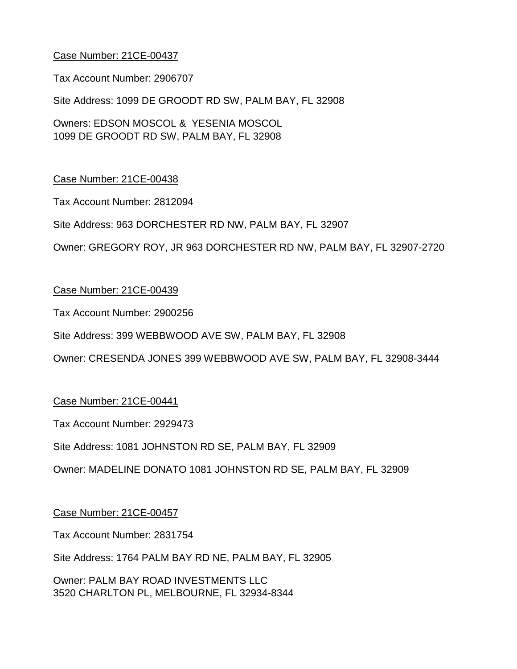Tax Account Number: 2906707

Site Address: 1099 DE GROODT RD SW, PALM BAY, FL 32908

Owners: EDSON MOSCOL & YESENIA MOSCOL 1099 DE GROODT RD SW, PALM BAY, FL 32908

## Case Number: 21CE-00438

Tax Account Number: 2812094

Site Address: 963 DORCHESTER RD NW, PALM BAY, FL 32907

Owner: GREGORY ROY, JR 963 DORCHESTER RD NW, PALM BAY, FL 32907-2720

## Case Number: 21CE-00439

Tax Account Number: 2900256

Site Address: 399 WEBBWOOD AVE SW, PALM BAY, FL 32908

Owner: CRESENDA JONES 399 WEBBWOOD AVE SW, PALM BAY, FL 32908-3444

## Case Number: 21CE-00441

Tax Account Number: 2929473

Site Address: 1081 JOHNSTON RD SE, PALM BAY, FL 32909

Owner: MADELINE DONATO 1081 JOHNSTON RD SE, PALM BAY, FL 32909

#### Case Number: 21CE-00457

Tax Account Number: 2831754

Site Address: 1764 PALM BAY RD NE, PALM BAY, FL 32905

Owner: PALM BAY ROAD INVESTMENTS LLC 3520 CHARLTON PL, MELBOURNE, FL 32934-8344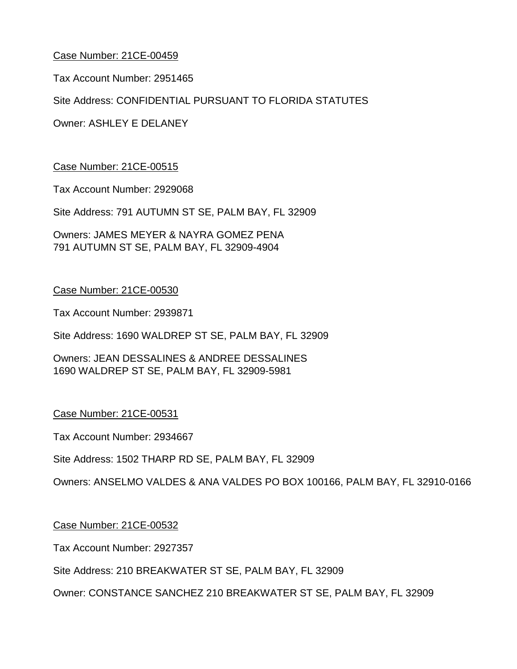Tax Account Number: 2951465

Site Address: CONFIDENTIAL PURSUANT TO FLORIDA STATUTES

Owner: ASHLEY E DELANEY

#### Case Number: 21CE-00515

Tax Account Number: 2929068

Site Address: 791 AUTUMN ST SE, PALM BAY, FL 32909

Owners: JAMES MEYER & NAYRA GOMEZ PENA 791 AUTUMN ST SE, PALM BAY, FL 32909-4904

#### Case Number: 21CE-00530

Tax Account Number: 2939871

Site Address: 1690 WALDREP ST SE, PALM BAY, FL 32909

Owners: JEAN DESSALINES & ANDREE DESSALINES 1690 WALDREP ST SE, PALM BAY, FL 32909-5981

#### Case Number: 21CE-00531

Tax Account Number: 2934667

Site Address: 1502 THARP RD SE, PALM BAY, FL 32909

Owners: ANSELMO VALDES & ANA VALDES PO BOX 100166, PALM BAY, FL 32910-0166

#### Case Number: 21CE-00532

Tax Account Number: 2927357

Site Address: 210 BREAKWATER ST SE, PALM BAY, FL 32909

Owner: CONSTANCE SANCHEZ 210 BREAKWATER ST SE, PALM BAY, FL 32909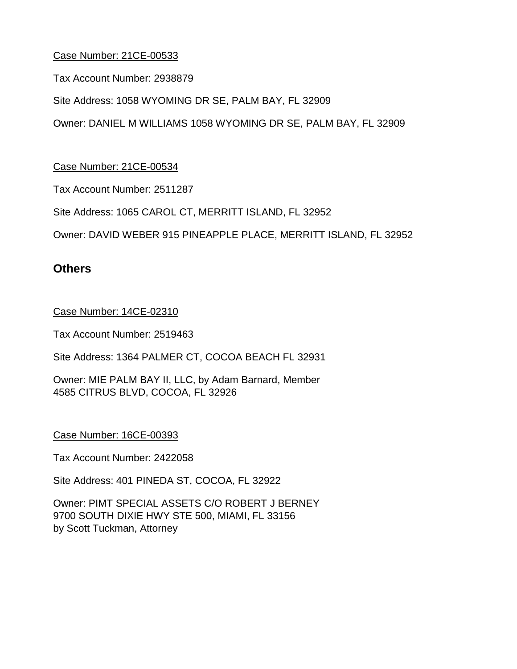Tax Account Number: 2938879

Site Address: 1058 WYOMING DR SE, PALM BAY, FL 32909

Owner: DANIEL M WILLIAMS 1058 WYOMING DR SE, PALM BAY, FL 32909

Case Number: 21CE-00534

Tax Account Number: 2511287

Site Address: 1065 CAROL CT, MERRITT ISLAND, FL 32952

Owner: DAVID WEBER 915 PINEAPPLE PLACE, MERRITT ISLAND, FL 32952

## **Others**

Case Number: 14CE-02310

Tax Account Number: 2519463

Site Address: 1364 PALMER CT, COCOA BEACH FL 32931

Owner: MIE PALM BAY II, LLC, by Adam Barnard, Member 4585 CITRUS BLVD, COCOA, FL 32926

Case Number: 16CE-00393

Tax Account Number: 2422058

Site Address: 401 PINEDA ST, COCOA, FL 32922

Owner: PIMT SPECIAL ASSETS C/O ROBERT J BERNEY 9700 SOUTH DIXIE HWY STE 500, MIAMI, FL 33156 by Scott Tuckman, Attorney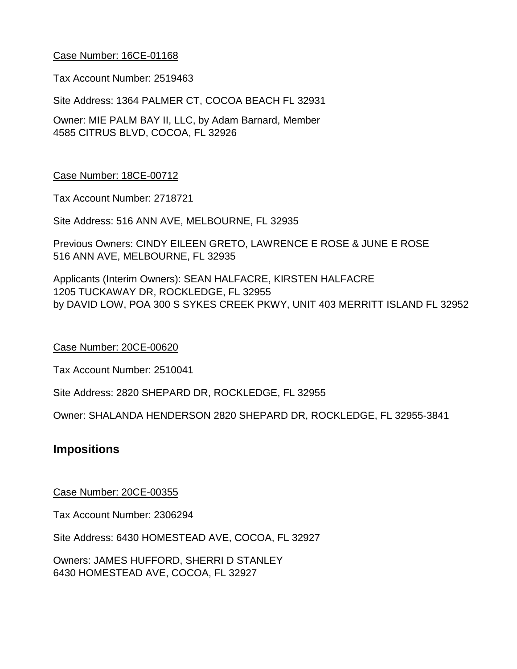Tax Account Number: 2519463

Site Address: 1364 PALMER CT, COCOA BEACH FL 32931

Owner: MIE PALM BAY II, LLC, by Adam Barnard, Member 4585 CITRUS BLVD, COCOA, FL 32926

#### Case Number: 18CE-00712

Tax Account Number: 2718721

Site Address: 516 ANN AVE, MELBOURNE, FL 32935

Previous Owners: CINDY EILEEN GRETO, LAWRENCE E ROSE & JUNE E ROSE 516 ANN AVE, MELBOURNE, FL 32935

Applicants (Interim Owners): SEAN HALFACRE, KIRSTEN HALFACRE 1205 TUCKAWAY DR, ROCKLEDGE, FL 32955 by DAVID LOW, POA 300 S SYKES CREEK PKWY, UNIT 403 MERRITT ISLAND FL 32952

#### Case Number: 20CE-00620

Tax Account Number: 2510041

Site Address: 2820 SHEPARD DR, ROCKLEDGE, FL 32955

Owner: SHALANDA HENDERSON 2820 SHEPARD DR, ROCKLEDGE, FL 32955-3841

## **Impositions**

#### Case Number: 20CE-00355

Tax Account Number: 2306294

Site Address: 6430 HOMESTEAD AVE, COCOA, FL 32927

Owners: JAMES HUFFORD, SHERRI D STANLEY 6430 HOMESTEAD AVE, COCOA, FL 32927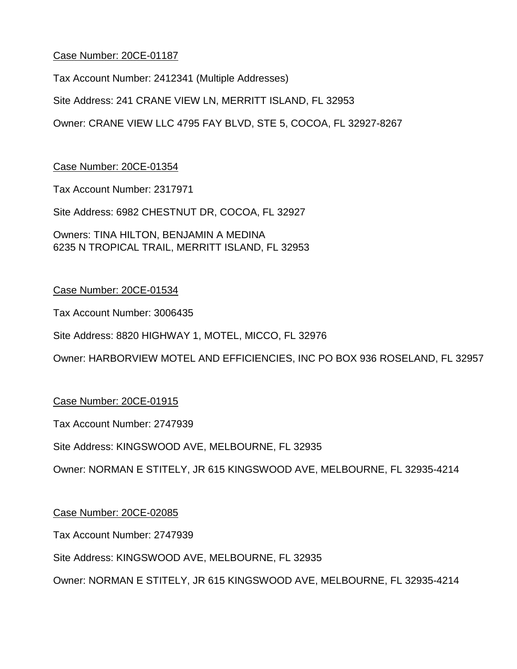Tax Account Number: 2412341 (Multiple Addresses)

Site Address: 241 CRANE VIEW LN, MERRITT ISLAND, FL 32953

Owner: CRANE VIEW LLC 4795 FAY BLVD, STE 5, COCOA, FL 32927-8267

## Case Number: 20CE-01354

Tax Account Number: 2317971

Site Address: 6982 CHESTNUT DR, COCOA, FL 32927

Owners: TINA HILTON, BENJAMIN A MEDINA 6235 N TROPICAL TRAIL, MERRITT ISLAND, FL 32953

## Case Number: 20CE-01534

Tax Account Number: 3006435

Site Address: 8820 HIGHWAY 1, MOTEL, MICCO, FL 32976

Owner: HARBORVIEW MOTEL AND EFFICIENCIES, INC PO BOX 936 ROSELAND, FL 32957

## Case Number: 20CE-01915

Tax Account Number: 2747939

Site Address: KINGSWOOD AVE, MELBOURNE, FL 32935

Owner: NORMAN E STITELY, JR 615 KINGSWOOD AVE, MELBOURNE, FL 32935-4214

#### Case Number: 20CE-02085

Tax Account Number: 2747939

Site Address: KINGSWOOD AVE, MELBOURNE, FL 32935

Owner: NORMAN E STITELY, JR 615 KINGSWOOD AVE, MELBOURNE, FL 32935-4214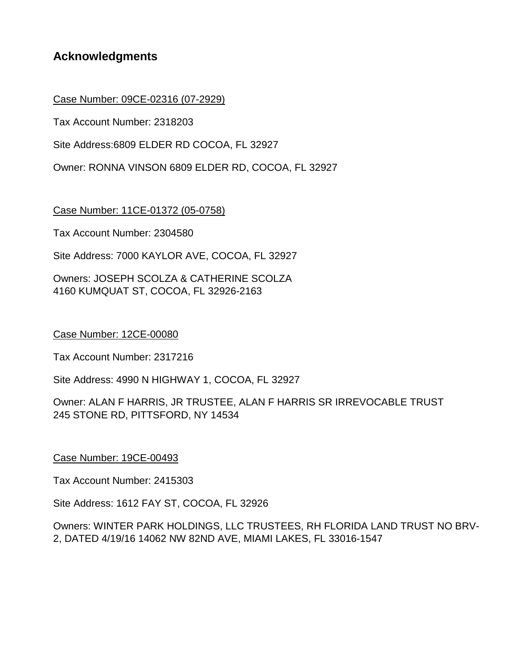## **Acknowledgments**

## Case Number: 09CE-02316 (07-2929)

Tax Account Number: 2318203

Site Address:6809 ELDER RD COCOA, FL 32927

Owner: RONNA VINSON 6809 ELDER RD, COCOA, FL 32927

Case Number: 11CE-01372 (05-0758)

Tax Account Number: 2304580

Site Address: 7000 KAYLOR AVE, COCOA, FL 32927

Owners: JOSEPH SCOLZA & CATHERINE SCOLZA 4160 KUMQUAT ST, COCOA, FL 32926-2163

#### Case Number: 12CE-00080

Tax Account Number: 2317216

Site Address: 4990 N HIGHWAY 1, COCOA, FL 32927

Owner: ALAN F HARRIS, JR TRUSTEE, ALAN F HARRIS SR IRREVOCABLE TRUST 245 STONE RD, PITTSFORD, NY 14534

Case Number: 19CE-00493

Tax Account Number: 2415303

Site Address: 1612 FAY ST, COCOA, FL 32926

Owners: WINTER PARK HOLDINGS, LLC TRUSTEES, RH FLORIDA LAND TRUST NO BRV-2, DATED 4/19/16 14062 NW 82ND AVE, MIAMI LAKES, FL 33016-1547